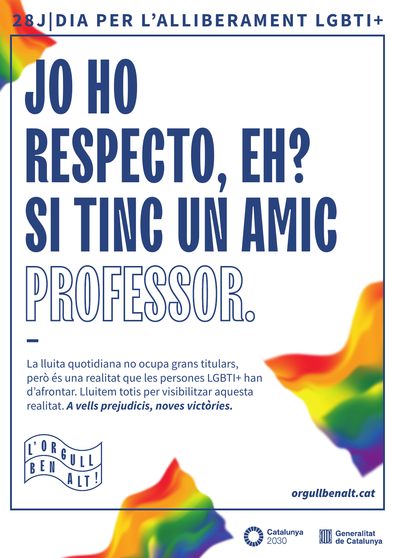### RESPECTO, EH? SI TING UN AMIG  $\begin{array}{|c|c|c|c|c|c|c|} \hline \text{D} & \text{D} & \text{D} & \text{A} & \text{A} & \text{B} \\ \hline \text{D} & \text{D} & \text{D} & \text{A} & \text{A} & \text{B} & \text{B} \\ \hline \text{D} & \text{D} & \text{D} & \text{A} & \text{A} & \text{B} & \text{B} & \text{B} \\ \hline \text{D} & \text{D} & \text{D} & \text{A} & \text{A} & \text{B} & \text{B} & \text{B} & \text{B} \\ \hline \text{D$





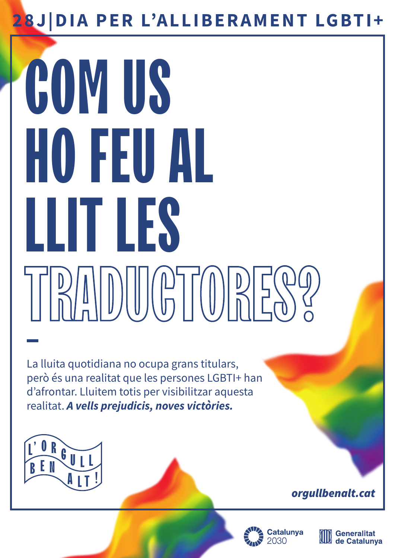## **COMUS** HOFEUAL TRADUCTORESS





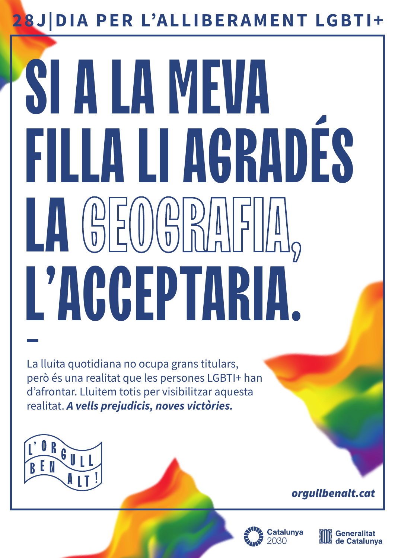## SI A LA MEVA FILLA LI AGRADES LA GEOGRAFIA, L'AGGEPTARIA.





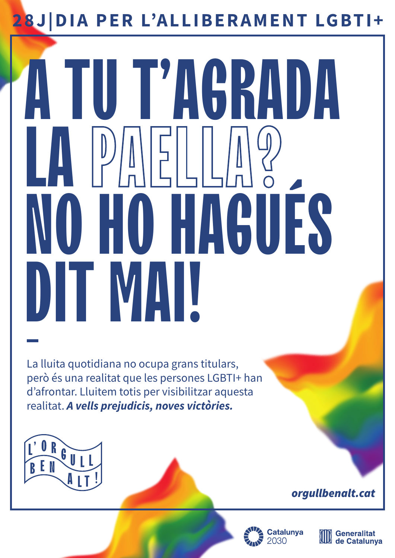## A TU T'AGRADA O HO HAGUES DIT MILL





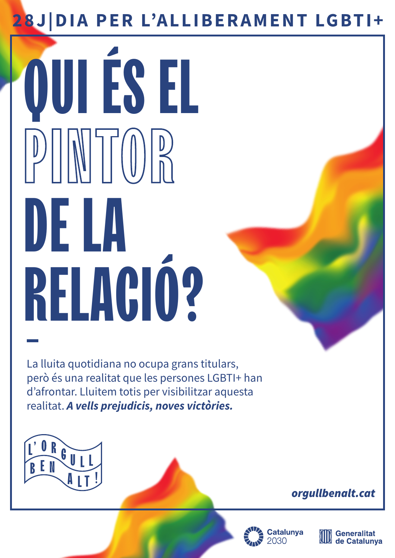





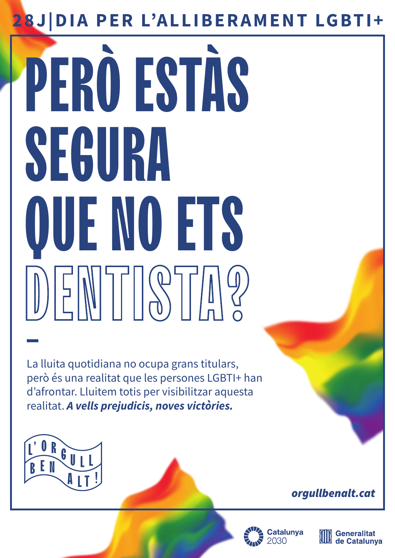# PERO ESTAS SEGURI OUE NO ETS DENTISTA9





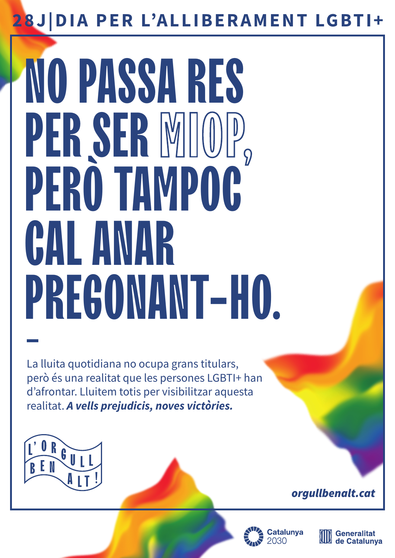### NO PASSA RES PER SER MUOP, PERO TAMPOG GAL ANAR PREGONANT-HO.





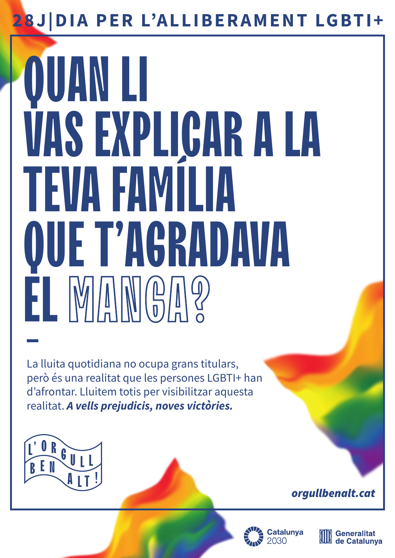### OUAN LI VAS EXPLICAR A LA TEVA FAWILIA OUE T'AGRADAVA EL MAMGAS